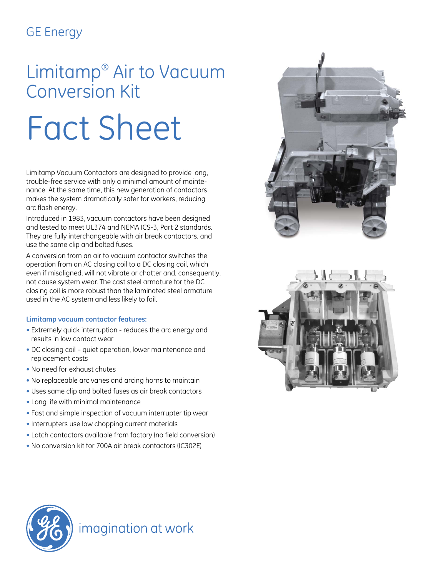## GE Energy

# Limitamp® Air to Vacuum Conversion Kit

# Fact Sheet

Limitamp Vacuum Contactors are designed to provide long, trouble-free service with only a minimal amount of maintenance. At the same time, this new generation of contactors makes the system dramatically safer for workers, reducing arc flash energy.

Introduced in 1983, vacuum contactors have been designed and tested to meet UL374 and NEMA ICS-3, Part 2 standards. They are fully interchangeable with air break contactors, and use the same clip and bolted fuses.

A conversion from an air to vacuum contactor switches the operation from an AC closing coil to a DC closing coil, which even if misaligned, will not vibrate or chatter and, consequently, not cause system wear. The cast steel armature for the DC closing coil is more robust than the laminated steel armature used in the AC system and less likely to fail.

#### **Limitamp vacuum contactor features:**

- Extremely quick interruption reduces the arc energy and results in low contact wear
- DC closing coil quiet operation, lower maintenance and replacement costs
- No need for exhaust chutes
- No replaceable arc vanes and arcing horns to maintain
- Uses same clip and bolted fuses as air break contactors
- Long life with minimal maintenance
- Fast and simple inspection of vacuum interrupter tip wear
- Interrupters use low chopping current materials
- Latch contactors available from factory (no field conversion)
- No conversion kit for 700A air break contactors (IC302E)







### imagination at work